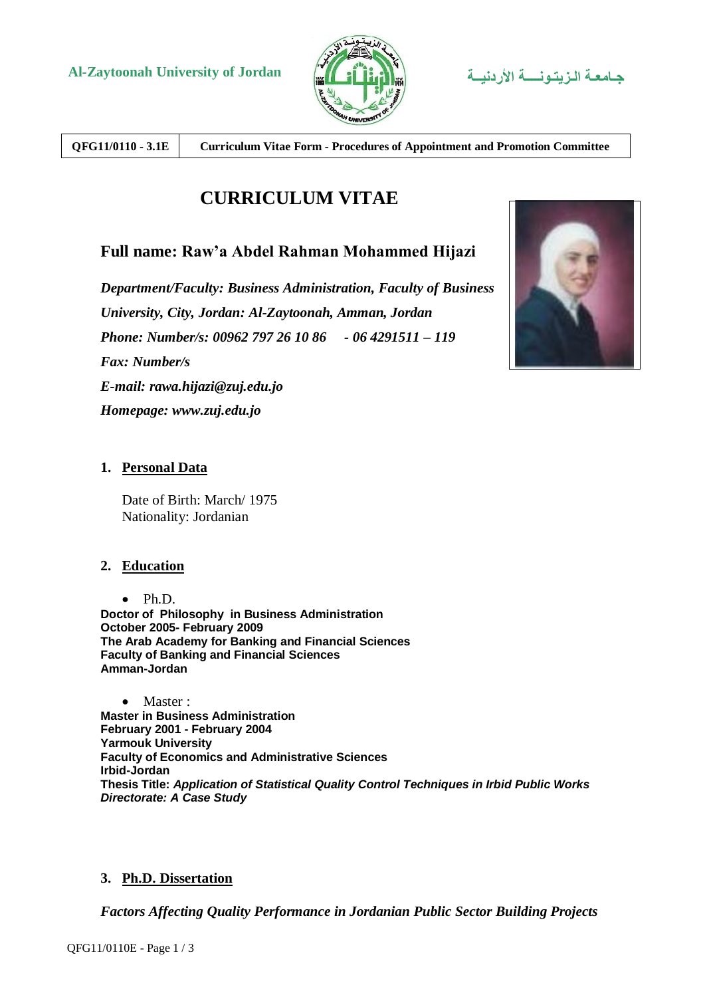

**QFG11/0110 - 3.1E Curriculum Vitae Form - Procedures of Appointment and Promotion Committee**

# **CURRICULUM VITAE**

## **Full name: Raw'a Abdel Rahman Mohammed Hijazi**

*Department/Faculty: Business Administration, Faculty of Business University, City, Jordan: Al-Zaytoonah, Amman, Jordan Phone: Number/s: 00962 797 26 10 86 - 06 4291511 – 119 Fax: Number/s E-mail: rawa.hijazi@zuj.edu.jo Homepage: www.zuj.edu.jo*



## **1. Personal Data**

Date of Birth: March/ 1975 Nationality: Jordanian

### **2. Education**

 $\bullet$  Ph.D. **Doctor of Philosophy in Business Administration October 2005- February 2009 The Arab Academy for Banking and Financial Sciences Faculty of Banking and Financial Sciences Amman-Jordan**

• Master : **Master in Business Administration February 2001 - February 2004 Yarmouk University Faculty of Economics and Administrative Sciences Irbid-Jordan Thesis Title:** *Application of Statistical Quality Control Techniques in Irbid Public Works Directorate: A Case Study*

## **3. Ph.D. Dissertation**

*Factors Affecting Quality Performance in Jordanian Public Sector Building Projects*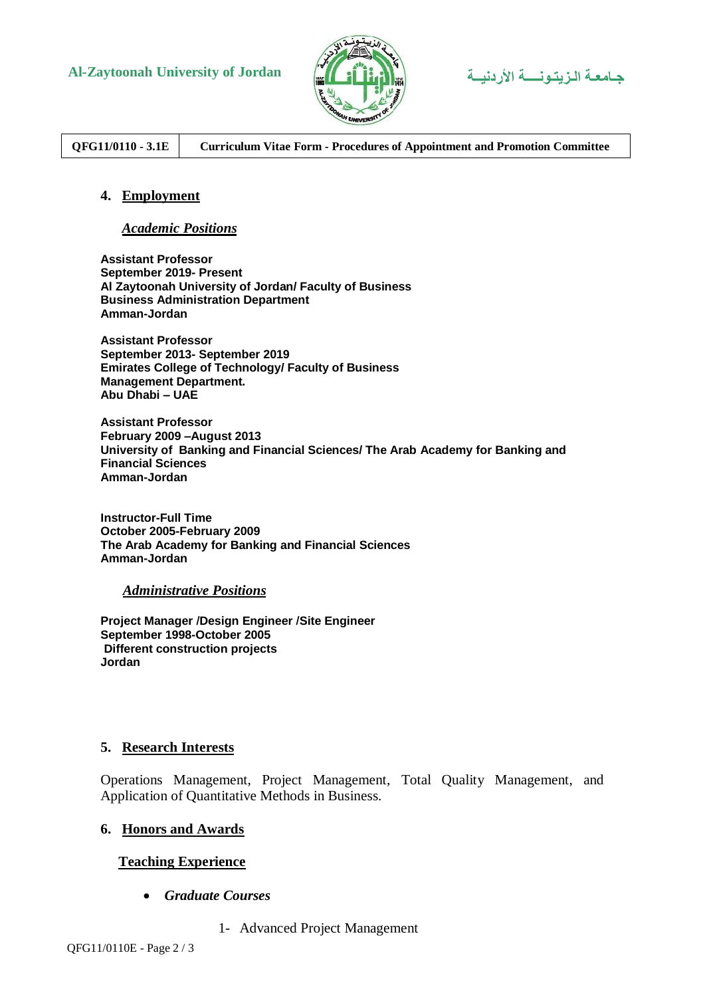

**Al-Zaytoonah University of Jordan األردنيــة الـزيتـونــــة جـامعـة**

**QFG11/0110 - 3.1E Curriculum Vitae Form - Procedures of Appointment and Promotion Committee**

#### **4. Employment**

#### *Academic Positions*

**Assistant Professor September 2019- Present Al Zaytoonah University of Jordan/ Faculty of Business Business Administration Department Amman-Jordan**

**Assistant Professor September 2013- September 2019 Emirates College of Technology/ Faculty of Business Management Department. Abu Dhabi – UAE**

**Assistant Professor February 2009 –August 2013 University of Banking and Financial Sciences/ The Arab Academy for Banking and Financial Sciences Amman-Jordan**

**Instructor-Full Time October 2005-February 2009 The Arab Academy for Banking and Financial Sciences Amman-Jordan**

#### *Administrative Positions*

**Project Manager /Design Engineer /Site Engineer September 1998-October 2005 Different construction projects Jordan**

#### **5. Research Interests**

Operations Management, Project Management, Total Quality Management, and Application of Quantitative Methods in Business.

#### **6. Honors and Awards**

#### **Teaching Experience**

- *Graduate Courses*
	- 1- Advanced Project Management